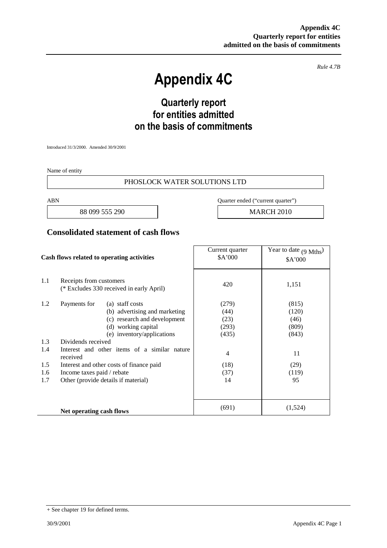*Rule 4.7B*

# **Appendix 4C**

# **Quarterly report for entities admitted on the basis of commitments**

Introduced 31/3/2000. Amended 30/9/2001

Name of entity

#### PHOSLOCK WATER SOLUTIONS LTD

88 099 555 290 **MARCH 2010** 

ABN Quarter ended ("current quarter")

#### **Consolidated statement of cash flows**

| Cash flows related to operating activities |                                                                     | Current quarter<br>\$A'000 | Year to date $(9 \text{ Mths})$<br>\$A'000 |
|--------------------------------------------|---------------------------------------------------------------------|----------------------------|--------------------------------------------|
| 1.1                                        | Receipts from customers<br>(* Excludes 330 received in early April) | 420                        | 1,151                                      |
| 1.2                                        | Payments for<br>(a) staff costs                                     | (279)                      | (815)                                      |
|                                            | (b) advertising and marketing                                       | (44)                       | (120)                                      |
|                                            | (c) research and development                                        | (23)                       | (46)                                       |
|                                            | (d) working capital                                                 | (293)                      | (809)                                      |
|                                            | (e) inventory/applications                                          | (435)                      | (843)                                      |
| 1.3                                        | Dividends received                                                  |                            |                                            |
| 1.4                                        | Interest and other items of a similar nature<br>received            | 4                          | 11                                         |
| 1.5                                        | Interest and other costs of finance paid                            | (18)                       | (29)                                       |
| 1.6                                        | Income taxes paid / rebate                                          | (37)                       | (119)                                      |
| 1.7                                        | Other (provide details if material)                                 | 14                         | 95                                         |
|                                            |                                                                     |                            |                                            |
|                                            | Net operating cash flows                                            | (691)                      | (1,524)                                    |

<sup>+</sup> See chapter 19 for defined terms.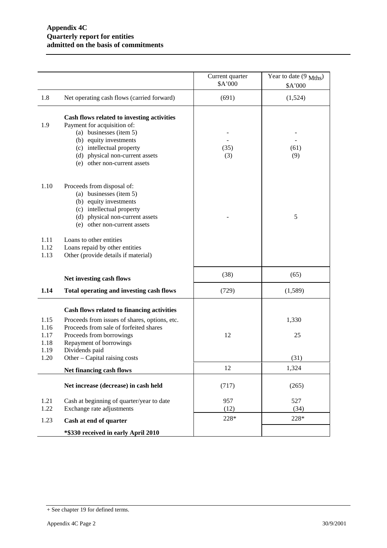|                                      |                                                                                                                                                                                                                                | Current quarter<br>\$A'000 | Year to date $(9 \text{ Mths})$<br>\$A'000 |
|--------------------------------------|--------------------------------------------------------------------------------------------------------------------------------------------------------------------------------------------------------------------------------|----------------------------|--------------------------------------------|
| 1.8                                  | Net operating cash flows (carried forward)                                                                                                                                                                                     | (691)                      | (1,524)                                    |
| 1.9                                  | Cash flows related to investing activities<br>Payment for acquisition of:<br>(a) businesses (item 5)<br>(b) equity investments<br>(c) intellectual property<br>(d) physical non-current assets<br>(e) other non-current assets | (35)<br>(3)                | (61)<br>(9)                                |
| 1.10                                 | Proceeds from disposal of:<br>(a) businesses (item 5)<br>(b) equity investments<br>(c) intellectual property<br>(d) physical non-current assets<br>(e) other non-current assets                                                |                            | 5                                          |
| 1.11<br>1.12<br>1.13                 | Loans to other entities<br>Loans repaid by other entities<br>Other (provide details if material)                                                                                                                               |                            |                                            |
|                                      | Net investing cash flows                                                                                                                                                                                                       | (38)                       | (65)                                       |
| 1.14                                 | Total operating and investing cash flows                                                                                                                                                                                       | (729)                      | (1,589)                                    |
| 1.15<br>1.16<br>1.17<br>1.18<br>1.19 | Cash flows related to financing activities<br>Proceeds from issues of shares, options, etc.<br>Proceeds from sale of forfeited shares<br>Proceeds from borrowings<br>Repayment of borrowings<br>Dividends paid                 | 12                         | 1,330<br>25                                |
| 1.20                                 | Other - Capital raising costs<br>Net financing cash flows                                                                                                                                                                      | 12                         | (31)<br>1,324                              |
|                                      | Net increase (decrease) in cash held                                                                                                                                                                                           | (717)                      | (265)                                      |
| 1.21<br>1.22                         | Cash at beginning of quarter/year to date<br>Exchange rate adjustments                                                                                                                                                         | 957<br>(12)                | 527<br>(34)                                |
| 1.23                                 | Cash at end of quarter                                                                                                                                                                                                         | 228*                       | 228*                                       |
|                                      | *\$330 received in early April 2010                                                                                                                                                                                            |                            |                                            |

<sup>+</sup> See chapter 19 for defined terms.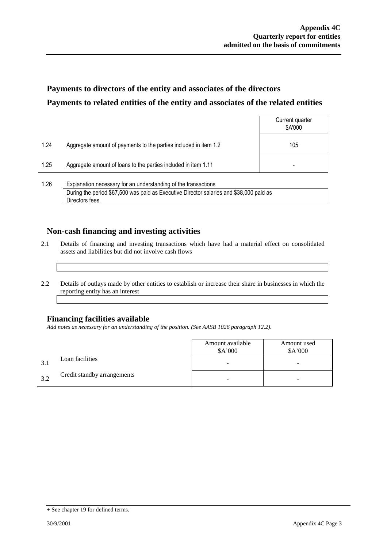## **Payments to directors of the entity and associates of the directors Payments to related entities of the entity and associates of the related entities**

|                |                                                                  | Current quarter<br>\$A'000 |
|----------------|------------------------------------------------------------------|----------------------------|
| 1.24           | Aggregate amount of payments to the parties included in item 1.2 | 105                        |
| 1.25           | Aggregate amount of loans to the parties included in item 1.11   | -                          |
| $\overline{1}$ |                                                                  |                            |

1.26 Explanation necessary for an understanding of the transactions During the period \$67,500 was paid as Executive Director salaries and \$38,000 paid as Directors fees.

### **Non-cash financing and investing activities**

- 2.1 Details of financing and investing transactions which have had a material effect on consolidated assets and liabilities but did not involve cash flows
- 2.2 Details of outlays made by other entities to establish or increase their share in businesses in which the reporting entity has an interest

### **Financing facilities available**

*Add notes as necessary for an understanding of the position. (See AASB 1026 paragraph 12.2).*

|              |                             | Amount available<br>\$A'000 | Amount used<br>\$A'000   |
|--------------|-----------------------------|-----------------------------|--------------------------|
| $\mathbf{R}$ | Loan facilities             | -                           | $\overline{\phantom{0}}$ |
| 32           | Credit standby arrangements |                             | -                        |

<sup>+</sup> See chapter 19 for defined terms.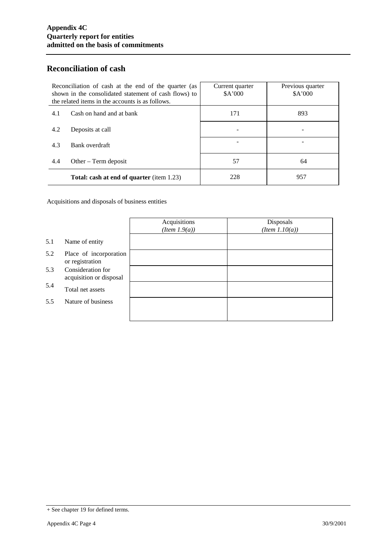### **Reconciliation of cash**

| Reconciliation of cash at the end of the quarter (as<br>shown in the consolidated statement of cash flows) to<br>the related items in the accounts is as follows. |                                                  | Current quarter<br>\$A'000 | Previous quarter<br>\$A'000 |
|-------------------------------------------------------------------------------------------------------------------------------------------------------------------|--------------------------------------------------|----------------------------|-----------------------------|
| 4.1                                                                                                                                                               | Cash on hand and at bank                         | 171                        | 893                         |
| 4.2                                                                                                                                                               | Deposits at call                                 |                            |                             |
| 4.3                                                                                                                                                               | Bank overdraft                                   |                            |                             |
| 4.4                                                                                                                                                               | Other $-$ Term deposit                           | 57                         | 64                          |
|                                                                                                                                                                   | <b>Total: cash at end of quarter</b> (item 1.23) | 228                        | 957                         |

Acquisitions and disposals of business entities

|     |                                              | Acquisitions<br>$(Item\ 1.9(a))$ | Disposals<br>$(Item\ 1.10(a))$ |
|-----|----------------------------------------------|----------------------------------|--------------------------------|
| 5.1 | Name of entity                               |                                  |                                |
| 5.2 | Place of incorporation<br>or registration    |                                  |                                |
| 5.3 | Consideration for<br>acquisition or disposal |                                  |                                |
| 5.4 | Total net assets                             |                                  |                                |
| 5.5 | Nature of business                           |                                  |                                |
|     |                                              |                                  |                                |

<sup>+</sup> See chapter 19 for defined terms.